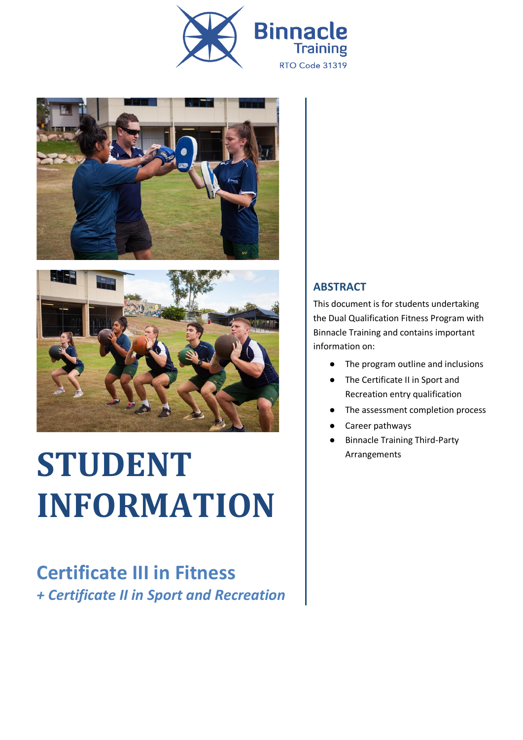





# **STUDENT INFORMATION**

### **Certificate III in Fitness** *+ Certificate II in Sport and Recreation*

### **ABSTRACT**

This document is for students undertaking the Dual Qualification Fitness Program with Binnacle Training and contains important information on:

- The program outline and inclusions
- The Certificate II in Sport and Recreation entry qualification
- The assessment completion process
- Career pathways
- Binnacle Training Third-Party Arrangements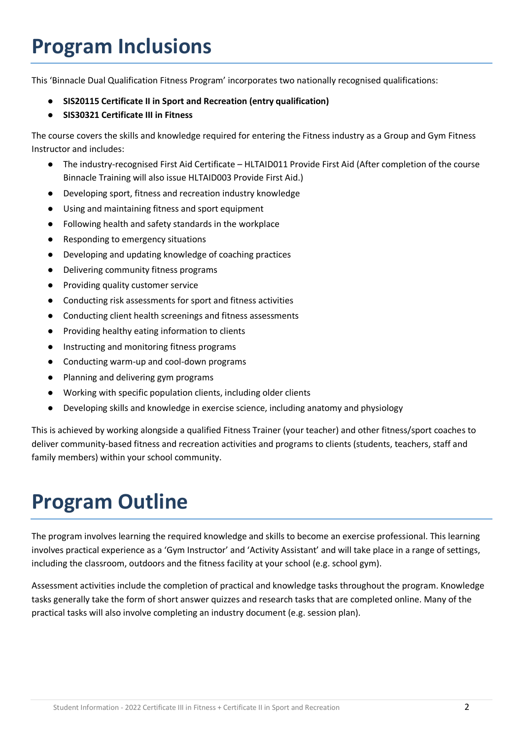# **Program Inclusions**

This 'Binnacle Dual Qualification Fitness Program' incorporates two nationally recognised qualifications:

- **SIS20115 Certificate II in Sport and Recreation (entry qualification)**
- **SIS30321 Certificate III in Fitness**

The course covers the skills and knowledge required for entering the Fitness industry as a Group and Gym Fitness Instructor and includes:

- The industry-recognised First Aid Certificate HLTAID011 Provide First Aid (After completion of the course Binnacle Training will also issue HLTAID003 Provide First Aid.)
- Developing sport, fitness and recreation industry knowledge
- Using and maintaining fitness and sport equipment
- Following health and safety standards in the workplace
- Responding to emergency situations
- Developing and updating knowledge of coaching practices
- Delivering community fitness programs
- Providing quality customer service
- Conducting risk assessments for sport and fitness activities
- Conducting client health screenings and fitness assessments
- Providing healthy eating information to clients
- Instructing and monitoring fitness programs
- Conducting warm-up and cool-down programs
- Planning and delivering gym programs
- Working with specific population clients, including older clients
- Developing skills and knowledge in exercise science, including anatomy and physiology

This is achieved by working alongside a qualified Fitness Trainer (your teacher) and other fitness/sport coaches to deliver community-based fitness and recreation activities and programs to clients (students, teachers, staff and family members) within your school community.

# **Program Outline**

The program involves learning the required knowledge and skills to become an exercise professional. This learning involves practical experience as a 'Gym Instructor' and 'Activity Assistant' and will take place in a range of settings, including the classroom, outdoors and the fitness facility at your school (e.g. school gym).

Assessment activities include the completion of practical and knowledge tasks throughout the program. Knowledge tasks generally take the form of short answer quizzes and research tasks that are completed online. Many of the practical tasks will also involve completing an industry document (e.g. session plan).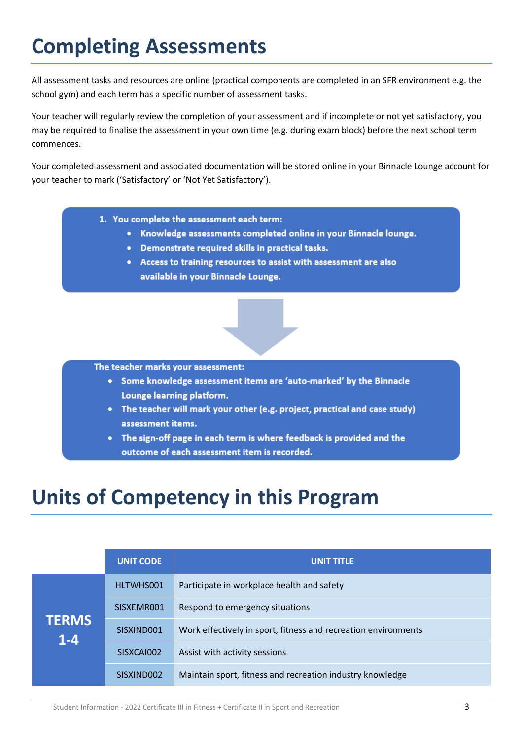# **Completing Assessments**

All assessment tasks and resources are online (practical components are completed in an SFR environment e.g. the school gym) and each term has a specific number of assessment tasks.

Your teacher will regularly review the completion of your assessment and if incomplete or not yet satisfactory, you may be required to finalise the assessment in your own time (e.g. during exam block) before the next school term commences.

Your completed assessment and associated documentation will be stored online in your Binnacle Lounge account for your teacher to mark ('Satisfactory' or 'Not Yet Satisfactory').

- 1. You complete the assessment each term:
	- Knowledge assessments completed online in your Binnacle lounge.
	- Demonstrate required skills in practical tasks.
	- Access to training resources to assist with assessment are also available in your Binnacle Lounge.

#### The teacher marks your assessment:

- Some knowledge assessment items are 'auto-marked' by the Binnacle Lounge learning platform.
- The teacher will mark your other (e.g. project, practical and case study) assessment items.
- The sign-off page in each term is where feedback is provided and the outcome of each assessment item is recorded.

### **Units of Competency in this Program**

|                         | <b>UNIT CODE</b> | <b>UNIT TITLE</b>                                              |
|-------------------------|------------------|----------------------------------------------------------------|
| <b>TERMS</b><br>$1 - 4$ | HLTWHS001        | Participate in workplace health and safety                     |
|                         | SISXEMR001       | Respond to emergency situations                                |
|                         | SISXIND001       | Work effectively in sport, fitness and recreation environments |
|                         | SISXCAI002       | Assist with activity sessions                                  |
|                         | SISXIND002       | Maintain sport, fitness and recreation industry knowledge      |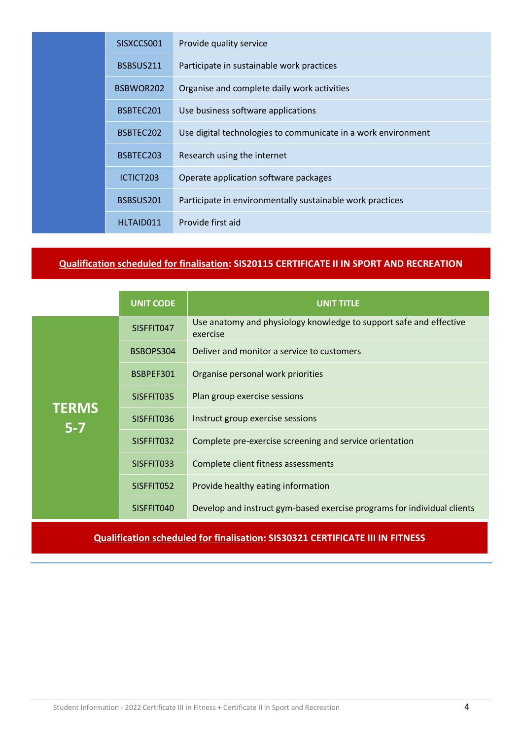|  | SISXCCS001 | Provide quality service                                       |
|--|------------|---------------------------------------------------------------|
|  | BSBSUS211  | Participate in sustainable work practices                     |
|  | BSBWOR202  | Organise and complete daily work activities                   |
|  | BSBTEC201  | Use business software applications                            |
|  | BSBTEC202  | Use digital technologies to communicate in a work environment |
|  | BSBTEC203  | Research using the internet                                   |
|  | ICTICT203  | Operate application software packages                         |
|  | BSBSUS201  | Participate in environmentally sustainable work practices     |
|  | HLTAID011  | Provide first aid                                             |
|  |            |                                                               |

#### **Qualification scheduled for finalisation: SIS20115 CERTIFICATE II IN SPORT AND RECREATION**

|                         | <b>UNIT CODE</b> | <b>UNIT TITLE</b>                                                              |
|-------------------------|------------------|--------------------------------------------------------------------------------|
|                         | SISFFIT047       | Use anatomy and physiology knowledge to support safe and effective<br>exercise |
|                         | BSBOPS304        | Deliver and monitor a service to customers                                     |
|                         | BSBPEF301        | Organise personal work priorities                                              |
|                         | SISFFIT035       | Plan group exercise sessions                                                   |
| <b>TERMS</b><br>$5 - 7$ | SISFFIT036       | Instruct group exercise sessions                                               |
|                         | SISFFIT032       | Complete pre-exercise screening and service orientation                        |
|                         | SISFFIT033       | Complete client fitness assessments                                            |
|                         | SISFFIT052       | Provide healthy eating information                                             |
|                         | SISFFIT040       | Develop and instruct gym-based exercise programs for individual clients        |

#### **Qualification scheduled for finalisation: SIS30321 CERTIFICATE III IN FITNESS**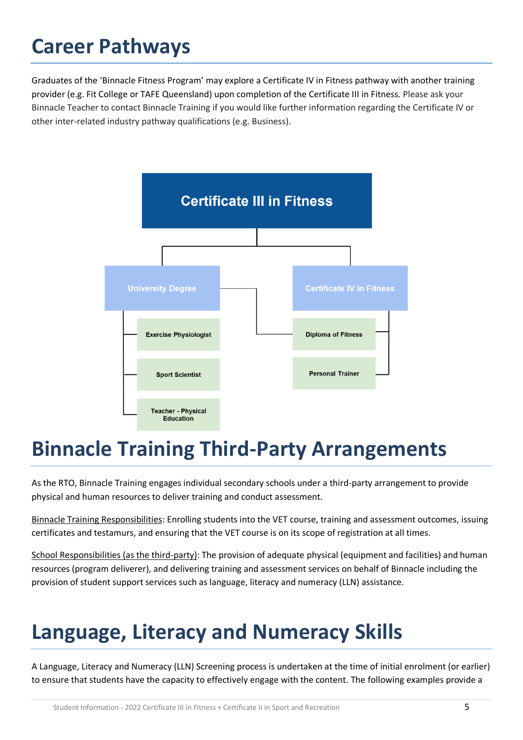# **Career Pathways**

Graduates of the 'Binnacle Fitness Program' may explore a Certificate IV in Fitness pathway with another training provider (e.g. Fit College or TAFE Queensland) upon completion of the Certificate III in Fitness. Please ask your Binnacle Teacher to contact Binnacle Training if you would like further information regarding the Certificate IV or other inter-related industry pathway qualifications (e.g. Business).



### **Binnacle Training Third-Party Arrangements**

As the RTO, Binnacle Training engages individual secondary schools under a third-party arrangement to provide physical and human resources to deliver training and conduct assessment.

Binnacle Training Responsibilities: Enrolling students into the VET course, training and assessment outcomes, issuing certificates and testamurs, and ensuring that the VET course is on its scope of registration at all times.

School Responsibilities (as the third-party): The provision of adequate physical (equipment and facilities) and human resources (program deliverer), and delivering training and assessment services on behalf of Binnacle including the provision of student support services such as language, literacy and numeracy (LLN) assistance.

# **Language, Literacy and Numeracy Skills**

A Language, Literacy and Numeracy (LLN) Screening process is undertaken at the time of initial enrolment (or earlier) to ensure that students have the capacity to effectively engage with the content. The following examples provide a